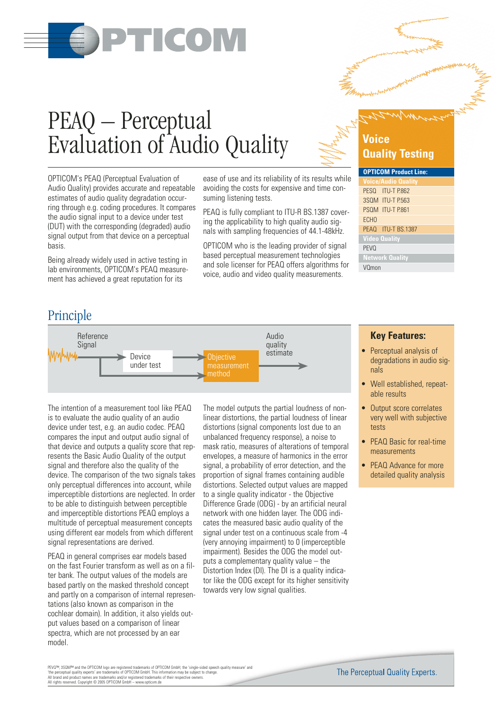

# PEAQ – Perceptual Evaluation of Audio Quality

OPTICOM's PEAQ (Perceptual Evaluation of Audio Quality) provides accurate and repeatable estimates of audio quality degradation occurring through e.g. coding procedures. It compares the audio signal input to a device under test (DUT) with the corresponding (degraded) audio signal output from that device on a perceptual basis.

Being already widely used in active testing in lab environments, OPTICOM's PEAQ measurement has achieved a great reputation for its

ease of use and its reliability of its results while avoiding the costs for expensive and time consuming listening tests.

PEAQ is fully compliant to ITU-R BS.1387 covering the applicability to high quality audio signals with sampling frequencies of 44.1-48kHz.

OPTICOM who is the leading provider of signal based perceptual measurement technologies and sole licenser for PEAQ offers algorithms for voice, audio and video quality measurements.

## **Voice Quality Testing**

| <b>OPTICOM Product Line:</b> |
|------------------------------|
| <b>Voice/Audio Quality</b>   |
| PESQ ITU-T P.862             |
| 3SOM ITU-T P.563             |
| PSQM ITU-T P.861             |
| ECH <sub>0</sub>             |
| PEAO ITU-T BS.1387           |
| <b>Video Quality</b>         |
| <b>PEVO</b>                  |
| <b>Network Quality</b>       |
| VOmon                        |

## Principle



The intention of a measurement tool like PEAQ is to evaluate the audio quality of an audio device under test, e.g. an audio codec. PEAQ compares the input and output audio signal of that device and outputs a quality score that represents the Basic Audio Quality of the output signal and therefore also the quality of the device. The comparison of the two signals takes only perceptual differences into account, while imperceptible distortions are neglected. In order to be able to distinguish between perceptible and imperceptible distortions PEAQ employs a multitude of perceptual measurement concepts using different ear models from which different signal representations are derived.

PEAQ in general comprises ear models based on the fast Fourier transform as well as on a filter bank. The output values of the models are based partly on the masked threshold concept and partly on a comparison of internal representations (also known as comparison in the cochlear domain). In addition, it also yields output values based on a comparison of linear spectra, which are not processed by an ear model.

The model outputs the partial loudness of nonlinear distortions, the partial loudness of linear distortions (signal components lost due to an unbalanced frequency response), a noise to mask ratio, measures of alterations of temporal envelopes, a measure of harmonics in the error signal, a probability of error detection, and the proportion of signal frames containing audible distortions. Selected output values are mapped to a single quality indicator - the Objective Difference Grade (ODG) - by an artificial neural network with one hidden layer. The ODG indicates the measured basic audio quality of the signal under test on a continuous scale from -4 (very annoying impairment) to 0 (imperceptible impairment). Besides the ODG the model outputs a complementary quality value – the Distortion Index (DI). The DI is a quality indicator like the ODG except for its higher sensitivity towards very low signal qualities.

#### **Key Features:**

- Perceptual analysis of degradations in audio signals
- Well established, repeatable results
- Output score correlates very well with subjective tests
- PEAQ Basic for real-time measurements
- PEAQ Advance for more detailed quality analysis

PEVO™, 3SOM™ and the OPTICOM logo are registered trademarks of OPTICOM GmbH; the 'single-sided speech quality measure' and<br>'the perceptual quality experts' are trademarks of OPTICOM GmbH. This information may be subject to